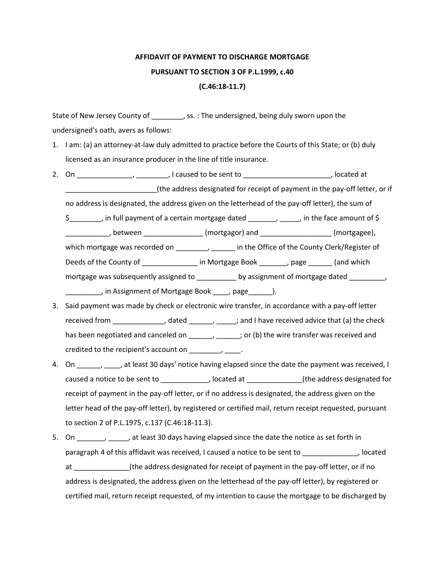## **AFFIDAVIT OF PAYMENT TO DISCHARGE MORTGAGE PURSUANT TO SECTION 3 OF P.L.1999, c.40 (C.46:18-11.7)**

State of New Jersey County of \_\_\_\_\_\_\_\_\_, ss. : The undersigned, being duly sworn upon the undersigned's oath, avers as follows:

- 1. I am: (a) an attorney-at-law duly admitted to practice before the Courts of this State; or (b) duly licensed as an insurance producer in the line of title insurance.
- 2. On \_\_\_\_\_\_\_\_\_\_\_\_\_\_, I caused to be sent to \_\_\_\_\_\_\_\_\_\_\_\_\_\_\_\_\_\_\_\_\_\_\_, located at \_\_\_\_\_\_\_\_\_\_\_\_\_\_\_\_\_\_\_\_\_\_\_(the address designated for receipt of payment in the pay-off letter, or if

no address is designated, the address given on the letterhead of the pay-off letter), the sum of

\$ \_\_\_\_\_\_\_, in full payment of a certain mortgage dated \_\_\_\_\_\_, \_\_\_\_, in the face amount of \$

\_\_\_\_\_\_\_\_\_\_\_\_\_, between \_\_\_\_\_\_\_\_\_\_\_\_\_\_\_\_\_\_ (mortgagor) and \_\_\_\_\_\_\_\_\_\_\_\_\_\_\_\_\_\_\_\_\_\_ (mortgagee),

which mortgage was recorded on \_\_\_\_\_\_\_, \_\_\_\_\_\_ in the Office of the County Clerk/Register of

Deeds of the County of \_\_\_\_\_\_\_\_\_\_\_\_\_\_\_\_ in Mortgage Book \_\_\_\_\_\_\_\_, page \_\_\_\_\_\_\_ (and which

mortgage was subsequently assigned to \_\_\_\_\_\_\_\_\_\_\_ by assignment of mortgage dated \_\_\_\_\_\_\_\_\_, \_\_\_\_\_\_\_\_\_, in Assignment of Mortgage Book \_\_\_\_, page\_\_\_\_\_\_).

- 3. Said payment was made by check or electronic wire transfer, in accordance with a pay-off letter received from \_\_\_\_\_\_\_\_\_\_\_\_\_, dated \_\_\_\_\_\_\_\_, \_\_\_\_\_; and I have received advice that (a) the check has been negotiated and canceled on \_\_\_\_\_, \_\_\_\_\_\_; or (b) the wire transfer was received and credited to the recipient's account on  $\qquad \qquad$
- 4. On \_\_\_\_\_\_, \_\_\_\_, at least 30 days' notice having elapsed since the date the payment was received, I caused a notice to be sent to \_\_\_\_\_\_\_\_\_\_\_\_, located at \_\_\_\_\_\_\_\_\_\_\_\_\_(the address designated for receipt of payment in the pay-off letter, or if no address is designated, the address given on the letter head of the pay-off letter), by registered or certified mail, return receipt requested, pursuant to section 2 of P.L.1975, c.137 (C.46:18-11.3).
- 5. On \_\_\_\_\_\_, \_\_\_\_, at least 30 days having elapsed since the date the notice as set forth in paragraph 4 of this affidavit was received, I caused a notice to be sent to \_\_\_\_\_\_\_\_\_\_\_\_\_\_, located at \_\_\_\_\_\_\_\_\_\_\_\_\_\_(the address designated for receipt of payment in the pay-off letter, or if no address is designated, the address given on the letterhead of the pay-off letter), by registered or certified mail, return receipt requested, of my intention to cause the mortgage to be discharged by